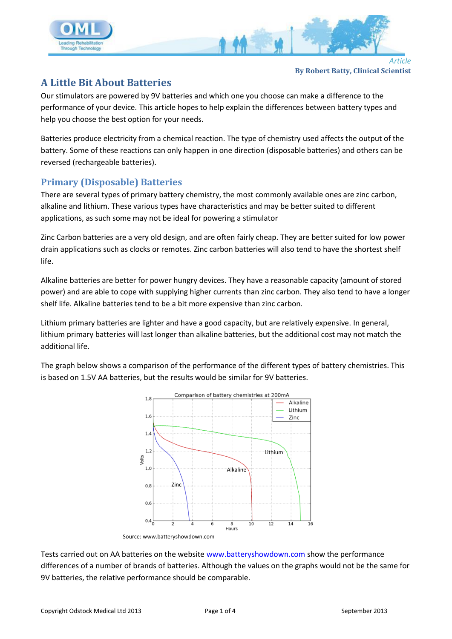

## **A Little Bit About Batteries**

Our stimulators are powered by 9V batteries and which one you choose can make a difference to the performance of your device. This article hopes to help explain the differences between battery types and help you choose the best option for your needs.

Batteries produce electricity from a chemical reaction. The type of chemistry used affects the output of the battery. Some of these reactions can only happen in one direction (disposable batteries) and others can be reversed (rechargeable batteries).

## **Primary (Disposable) Batteries**

There are several types of primary battery chemistry, the most commonly available ones are zinc carbon, alkaline and lithium. These various types have characteristics and may be better suited to different applications, as such some may not be ideal for powering a stimulator

Zinc Carbon batteries are a very old design, and are often fairly cheap. They are better suited for low power drain applications such as clocks or remotes. Zinc carbon batteries will also tend to have the shortest shelf life.

Alkaline batteries are better for power hungry devices. They have a reasonable capacity (amount of stored power) and are able to cope with supplying higher currents than zinc carbon. They also tend to have a longer shelf life. Alkaline batteries tend to be a bit more expensive than zinc carbon.

Lithium primary batteries are lighter and have a good capacity, but are relatively expensive. In general, lithium primary batteries will last longer than alkaline batteries, but the additional cost may not match the additional life.

The graph below shows a comparison of the performance of the different types of battery chemistries. This is based on 1.5V AA batteries, but the results would be similar for 9V batteries.



Source: www.batteryshowdown.com

Tests carried out on AA batteries on the website [www.batteryshowdown.com](http://www.batteryshowdown.com/) show the performance differences of a number of brands of batteries. Although the values on the graphs would not be the same for 9V batteries, the relative performance should be comparable.

**By Robert Batty, Clinical Scientist**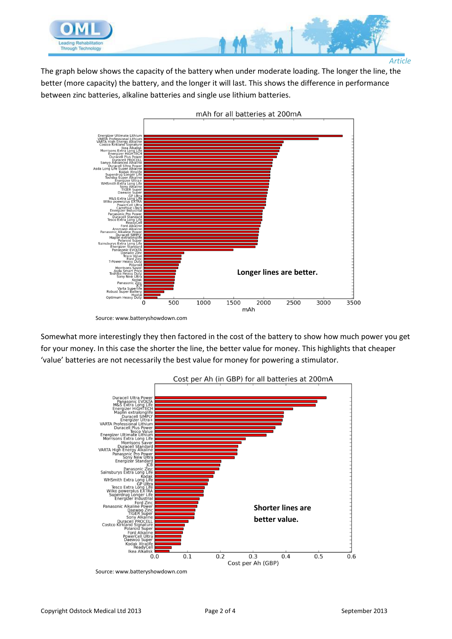

*Article*

The graph below shows the capacity of the battery when under moderate loading. The longer the line, the better (more capacity) the battery, and the longer it will last. This shows the difference in performance between zinc batteries, alkaline batteries and single use lithium batteries.



Source: www.batteryshowdown.com

Somewhat more interestingly they then factored in the cost of the battery to show how much power you get for your money. In this case the shorter the line, the better value for money. This highlights that cheaper 'value' batteries are not necessarily the best value for money for powering a stimulator.



Source: www.batteryshowdown.com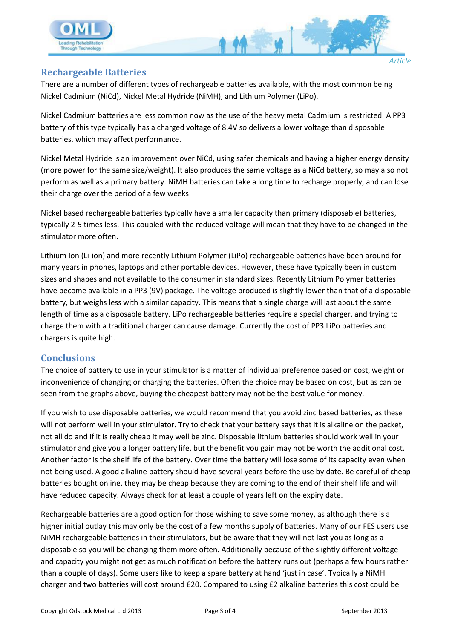

## **Rechargeable Batteries**

There are a number of different types of rechargeable batteries available, with the most common being Nickel Cadmium (NiCd), Nickel Metal Hydride (NiMH), and Lithium Polymer (LiPo).

Nickel Cadmium batteries are less common now as the use of the heavy metal Cadmium is restricted. A PP3 battery of this type typically has a charged voltage of 8.4V so delivers a lower voltage than disposable batteries, which may affect performance.

Nickel Metal Hydride is an improvement over NiCd, using safer chemicals and having a higher energy density (more power for the same size/weight). It also produces the same voltage as a NiCd battery, so may also not perform as well as a primary battery. NiMH batteries can take a long time to recharge properly, and can lose their charge over the period of a few weeks.

Nickel based rechargeable batteries typically have a smaller capacity than primary (disposable) batteries, typically 2-5 times less. This coupled with the reduced voltage will mean that they have to be changed in the stimulator more often.

Lithium Ion (Li-ion) and more recently Lithium Polymer (LiPo) rechargeable batteries have been around for many years in phones, laptops and other portable devices. However, these have typically been in custom sizes and shapes and not available to the consumer in standard sizes. Recently Lithium Polymer batteries have become available in a PP3 (9V) package. The voltage produced is slightly lower than that of a disposable battery, but weighs less with a similar capacity. This means that a single charge will last about the same length of time as a disposable battery. LiPo rechargeable batteries require a special charger, and trying to charge them with a traditional charger can cause damage. Currently the cost of PP3 LiPo batteries and chargers is quite high.

## **Conclusions**

The choice of battery to use in your stimulator is a matter of individual preference based on cost, weight or inconvenience of changing or charging the batteries. Often the choice may be based on cost, but as can be seen from the graphs above, buying the cheapest battery may not be the best value for money.

If you wish to use disposable batteries, we would recommend that you avoid zinc based batteries, as these will not perform well in your stimulator. Try to check that your battery says that it is alkaline on the packet, not all do and if it is really cheap it may well be zinc. Disposable lithium batteries should work well in your stimulator and give you a longer battery life, but the benefit you gain may not be worth the additional cost. Another factor is the shelf life of the battery. Over time the battery will lose some of its capacity even when not being used. A good alkaline battery should have several years before the use by date. Be careful of cheap batteries bought online, they may be cheap because they are coming to the end of their shelf life and will have reduced capacity. Always check for at least a couple of years left on the expiry date.

Rechargeable batteries are a good option for those wishing to save some money, as although there is a higher initial outlay this may only be the cost of a few months supply of batteries. Many of our FES users use NiMH rechargeable batteries in their stimulators, but be aware that they will not last you as long as a disposable so you will be changing them more often. Additionally because of the slightly different voltage and capacity you might not get as much notification before the battery runs out (perhaps a few hours rather than a couple of days). Some users like to keep a spare battery at hand 'just in case'. Typically a NiMH charger and two batteries will cost around £20. Compared to using £2 alkaline batteries this cost could be